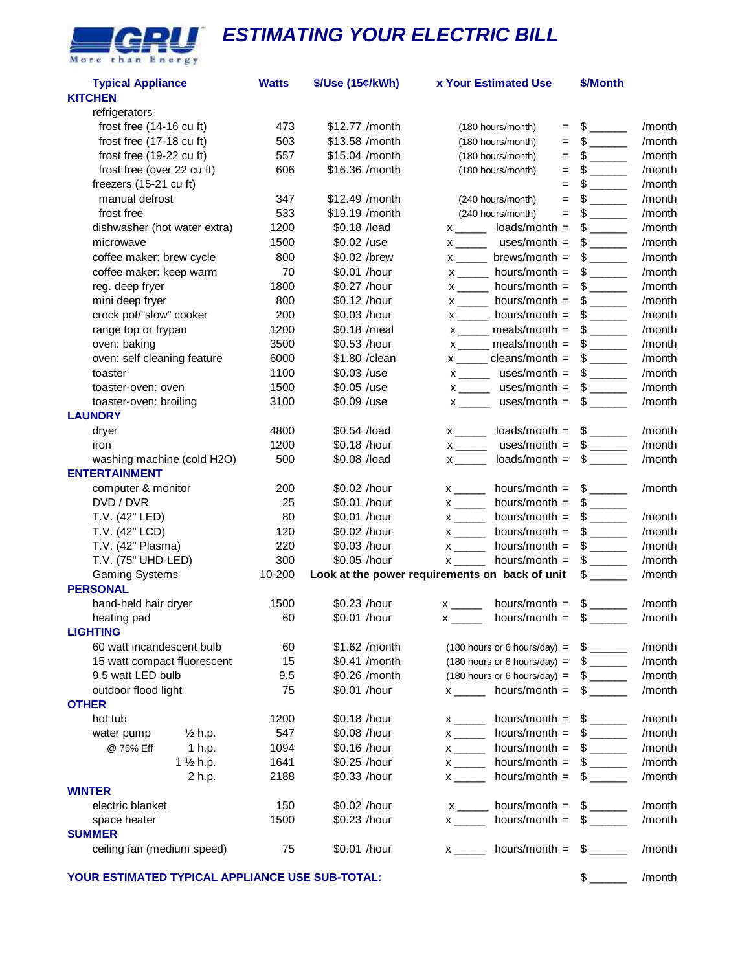

## *ESTIMATING YOUR ELECTRIC BILL*

| <b>Typical Appliance</b><br><b>KITCHEN</b> | <b>Watts</b> | \$/Use (15¢/kWh) | <b>x Your Estimated Use</b>                      | \$/Month                      |        |
|--------------------------------------------|--------------|------------------|--------------------------------------------------|-------------------------------|--------|
| refrigerators                              |              |                  |                                                  |                               |        |
| frost free (14-16 cu ft)                   | 473          | \$12.77 / month  | (180 hours/month)<br>$=$                         | $\frac{1}{\sqrt{2}}$          | /month |
| frost free (17-18 cu ft)                   | 503          | \$13.58 /month   | (180 hours/month)<br>$=$                         |                               | /month |
| frost free (19-22 cu ft)                   | 557          | \$15.04 /month   | (180 hours/month)<br>$=$                         |                               | /month |
| frost free (over 22 cu ft)                 | 606          | \$16.36 /month   | (180 hours/month)<br>$=$                         | $\mathbb{S}$ and $\mathbb{S}$ | /month |
| freezers (15-21 cu ft)                     |              |                  | $=$                                              | $\mathbb{S}$ and $\mathbb{S}$ | /month |
| manual defrost                             | 347          | \$12.49 /month   | (240 hours/month)<br>$=$                         |                               | /month |
| frost free                                 | 533          | \$19.19 / month  | (240 hours/month)<br>$=$                         | $\frac{1}{2}$                 | /month |
| dishwasher (hot water extra)               | 1200         | \$0.18 /load     | $loads/month =$                                  |                               | /month |
| microwave                                  | 1500         | \$0.02 /use      | uses/month $=$<br>$x \underline{\hspace{1cm}}$   | $\frac{1}{2}$                 | /month |
| coffee maker: brew cycle                   | 800          | \$0.02 /brew     | $brews/month =$                                  |                               | /month |
| coffee maker: keep warm                    | 70           | \$0.01 /hour     | hours/month $=$<br>$x$ <sub>_____</sub>          |                               | /month |
| reg. deep fryer                            | 1800         | \$0.27 /hour     | hours/month $=$<br>$x$ <sub>_______</sub>        | $\frac{1}{2}$                 | /month |
| mini deep fryer                            | 800          | \$0.12 /hour     | hours/month $=$                                  |                               | /month |
| crock pot/"slow" cooker                    | 200          | \$0.03 /hour     | hours/month $=$<br>$x$ <sub>______</sub>         | $\frac{1}{2}$                 | /month |
| range top or frypan                        | 1200         | \$0.18 /meal     | $x$ ______ meals/month =                         |                               | /month |
| oven: baking                               | 3500         | \$0.53 /hour     | $x$ ______ meals/month =                         | $$$ $\overline{\phantom{a}$   | /month |
| oven: self cleaning feature                | 6000         | \$1.80 / clean   | $x$ ______ cleans/month =                        | $$$                           | /month |
| toaster                                    | 1100         | \$0.03 /use      | $x$ _______ uses/month =                         | $$$                           | /month |
| toaster-oven: oven                         | 1500         | \$0.05 /use      | $x$ _______ uses/month =                         | $\frac{1}{2}$                 | /month |
| toaster-oven: broiling                     | 3100         | \$0.09 /use      | $x$ ______ uses/month =                          | $\mathbb{S}$ and $\mathbb{S}$ | /month |
| <b>LAUNDRY</b>                             |              |                  |                                                  |                               |        |
| dryer                                      | 4800         | \$0.54 /load     | loads/month = $$$ _______                        |                               | /month |
| iron                                       | 1200         | \$0.18 /hour     | $x$ <sub>_____</sub><br>uses/month = $$$ _____   |                               | /month |
| washing machine (cold H2O)                 | 500          | \$0.08 /load     | $x$ <sub>______</sub><br>$loads/month =$         | $\frac{1}{2}$                 | /month |
| <b>ENTERTAINMENT</b>                       |              |                  |                                                  |                               |        |
| computer & monitor                         | 200          | \$0.02 /hour     | hours/month $=$<br>$\mathsf{X}$ and $\mathsf{X}$ | $\frac{1}{2}$                 | /month |
| DVD / DVR                                  | 25           | \$0.01 /hour     | $x \overline{\phantom{a}}$<br>hours/month $=$    | $\frac{1}{2}$                 |        |
| T.V. (42" LED)                             | 80           | \$0.01 /hour     | hours/month $=$                                  | $\frac{1}{2}$                 | /month |
| T.V. (42" LCD)                             | 120          | \$0.02 /hour     | $x$ <sub>_____</sub><br>hours/month $=$          |                               | /month |
| T.V. (42" Plasma)                          | 220          | \$0.03 /hour     | hours/month $=$<br>$x$ <sub>______</sub>         | $\frac{1}{2}$                 | /month |
| T.V. (75" UHD-LED)                         | 300          | \$0.05 /hour     | hours/month $=$                                  | $\frac{1}{2}$                 | /month |
| <b>Gaming Systems</b>                      | 10-200       |                  | Look at the power requirements on back of unit   | $\mathbb{S}$ and $\mathbb{S}$ | /month |
| <b>PERSONAL</b>                            |              |                  |                                                  |                               |        |
| hand-held hair dryer                       | 1500         | \$0.23 /hour     | hours/month = $$$ ________                       |                               | /month |
| heating pad                                | 60           | \$0.01 /hour     | hours/month = $$$<br>$x \sim$                    |                               | /month |
| <b>LIGHTING</b>                            |              |                  |                                                  |                               |        |
| 60 watt incandescent bulb                  | 60           | \$1.62 / month   | $(180$ hours or 6 hours/day) =                   | $\frac{1}{2}$                 | /month |
| 15 watt compact fluorescent                | 15           | \$0.41 /month    | $(180$ hours or 6 hours/day) =                   | $$\overline{\phantom{a}3}$    | /month |
| 9.5 watt LED bulb                          | 9.5          | \$0.26 / month   | $(180$ hours or 6 hours/day) =                   | $$$ $\overline{\phantom{a}$   | /month |
| outdoor flood light                        | 75           | \$0.01 /hour     | $x$ ________ hours/month =                       | $\mathbb{S}$ and $\mathbb{S}$ | /month |
| <b>OTHER</b>                               |              |                  |                                                  |                               |        |
| hot tub                                    | 1200         | \$0.18 /hour     | $x$ ________ hours/month =                       | $\frac{1}{2}$                 | /month |
| $\frac{1}{2}$ h.p.<br>water pump           | 547          | \$0.08 /hour     | $x$ ________ hours/month =                       | $\frac{1}{\sqrt{2}}$          | /month |
| @ 75% Eff<br>1 h.p.                        | 1094         | \$0.16 /hour     | hours/month $=$<br>$x$ <sub>_____</sub>          | $\frac{1}{2}$                 | /month |
| 1 1/2 h.p.                                 | 1641         | \$0.25 /hour     | $x$ <sub>_____</sub><br>hours/month $=$          | $\frac{1}{2}$                 | /month |
| 2 h.p.                                     | 2188         | \$0.33 /hour     | hours/month $=$<br>$\mathsf{X}$ and $\mathsf{X}$ | $\mathbb{S}$ and $\mathbb{S}$ | /month |
| <b>WINTER</b>                              |              |                  |                                                  |                               |        |
| electric blanket                           | 150          | \$0.02 /hour     | $x$ ______ hours/month = $\frac{6}{x}$           |                               | /month |
| space heater                               | 1500         | \$0.23 /hour     | $x$ hours/month = $\frac{1}{2}$                  |                               | /month |
| <b>SUMMER</b>                              |              |                  |                                                  |                               |        |
| ceiling fan (medium speed)                 | 75           | \$0.01 /hour     | $x$ _______ hours/month = $$$ ______             |                               | /month |

**YOUR ESTIMATED TYPICAL APPLIANCE USE SUB-TOTAL:** \$ \_\_\_\_\_\_ /month